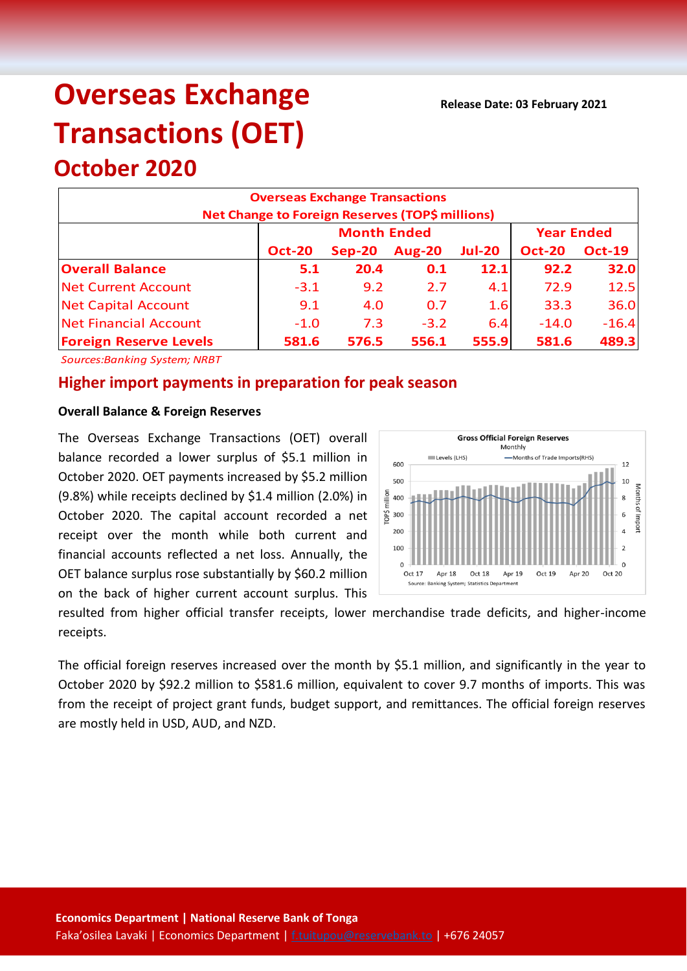**Release Date: 03 February 2021**

# **Overseas Exchange Transactions (OET) October 2020**

# **Overseas Exchange Transactions Net Change to Foreign Reserves (TOP\$ millions) Oct-20 Sep-20 Aug-20 Jul-20 Oct-20 Oct-19 Overall Balance 5.1 20.4 0.1 12.1 92.2 32.0** Net Current Account -3.1 9.2 2.7 4.1 72.9 12.5 Net Capital Account 9.1 4.0 0.7 1.6 33.3 36.0 Net Financial Account 1 -1.0 7.3 -3.2 6.4 -14.0 -16.4 **Foreign Reserve Levels 581.6 576.5 556.1 555.9 581.6 489.3 Month Ended Year Ended**

*Sources:Banking System; NRBT*

# **Higher import payments in preparation for peak season**

#### **Overall Balance & Foreign Reserves**

The Overseas Exchange Transactions (OET) overall balance recorded a lower surplus of \$5.1 million in October 2020. OET payments increased by \$5.2 million (9.8%) while receipts declined by \$1.4 million (2.0%) in October 2020. The capital account recorded a net receipt over the month while both current and financial accounts reflected a net loss. Annually, the OET balance surplus rose substantially by \$60.2 million on the back of higher current account surplus. This



resulted from higher official transfer receipts, lower merchandise trade deficits, and higher-income receipts.

The official foreign reserves increased over the month by \$5.1 million, and significantly in the year to October 2020 by \$92.2 million to \$581.6 million, equivalent to cover 9.7 months of imports. This was from the receipt of project grant funds, budget support, and remittances. The official foreign reserves are mostly held in USD, AUD, and NZD.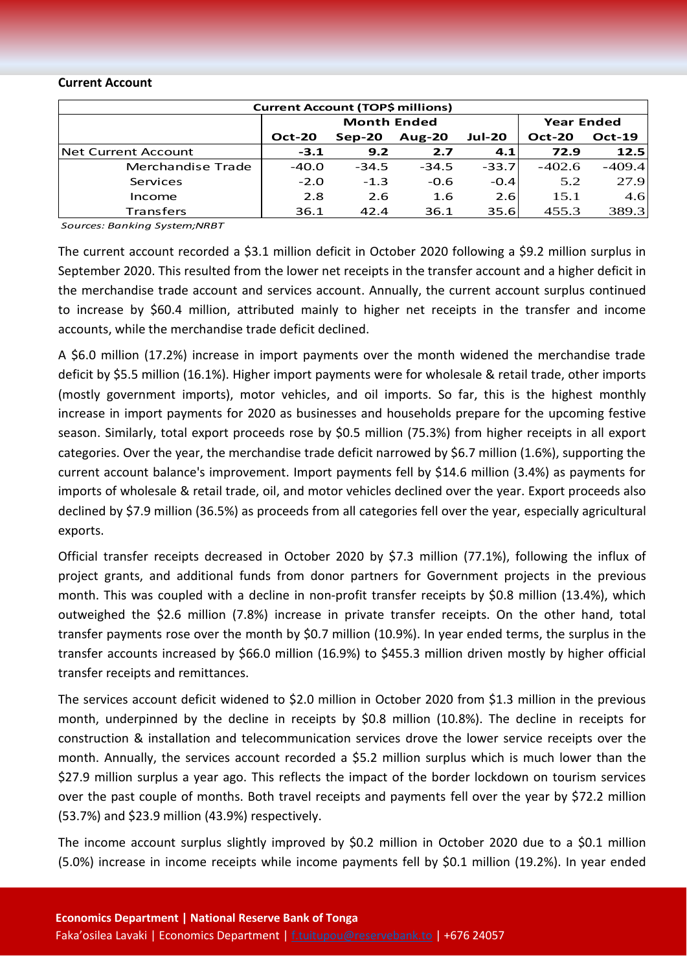#### **Current Account**

| <b>Current Account (TOP\$ millions)</b> |                    |          |               |               |                   |               |  |  |  |
|-----------------------------------------|--------------------|----------|---------------|---------------|-------------------|---------------|--|--|--|
|                                         | <b>Month Ended</b> |          |               |               | <b>Year Ended</b> |               |  |  |  |
|                                         | <b>Oct-20</b>      | $Sep-20$ | <b>Aug-20</b> | <b>Jul-20</b> | <b>Oct-20</b>     | <b>Oct-19</b> |  |  |  |
| <b>INet Current Account</b>             | $-3.1$             | 9.2      | 2.7           | 4.1           | 72.9              | 12.5          |  |  |  |
| Merchandise Trade                       | $-40.0$            | $-34.5$  | $-34.5$       | $-33.7$       | $-402.6$          | $-409.4$      |  |  |  |
| Services                                | $-2.0$             | $-1.3$   | $-0.6$        | $-0.4$        | 5.2               | 27.9          |  |  |  |
| Income                                  | 2.8                | 2.6      | 1.6           | 2.6           | 15.1              | 4.6           |  |  |  |
| <b>Transfers</b>                        | 36.1               | 42.4     | 36.1          | 35.6          | 455.3             | 389.3         |  |  |  |

*Sources: Banking System;NRBT*

The current account recorded a \$3.1 million deficit in October 2020 following a \$9.2 million surplus in September 2020. This resulted from the lower net receipts in the transfer account and a higher deficit in the merchandise trade account and services account. Annually, the current account surplus continued to increase by \$60.4 million, attributed mainly to higher net receipts in the transfer and income accounts, while the merchandise trade deficit declined.

A \$6.0 million (17.2%) increase in import payments over the month widened the merchandise trade deficit by \$5.5 million (16.1%). Higher import payments were for wholesale & retail trade, other imports (mostly government imports), motor vehicles, and oil imports. So far, this is the highest monthly increase in import payments for 2020 as businesses and households prepare for the upcoming festive season. Similarly, total export proceeds rose by \$0.5 million (75.3%) from higher receipts in all export categories. Over the year, the merchandise trade deficit narrowed by \$6.7 million (1.6%), supporting the current account balance's improvement. Import payments fell by \$14.6 million (3.4%) as payments for imports of wholesale & retail trade, oil, and motor vehicles declined over the year. Export proceeds also declined by \$7.9 million (36.5%) as proceeds from all categories fell over the year, especially agricultural exports.

Official transfer receipts decreased in October 2020 by \$7.3 million (77.1%), following the influx of project grants, and additional funds from donor partners for Government projects in the previous month. This was coupled with a decline in non-profit transfer receipts by \$0.8 million (13.4%), which outweighed the \$2.6 million (7.8%) increase in private transfer receipts. On the other hand, total transfer payments rose over the month by \$0.7 million (10.9%). In year ended terms, the surplus in the transfer accounts increased by \$66.0 million (16.9%) to \$455.3 million driven mostly by higher official transfer receipts and remittances.

The services account deficit widened to \$2.0 million in October 2020 from \$1.3 million in the previous month, underpinned by the decline in receipts by \$0.8 million (10.8%). The decline in receipts for construction & installation and telecommunication services drove the lower service receipts over the month. Annually, the services account recorded a \$5.2 million surplus which is much lower than the \$27.9 million surplus a year ago. This reflects the impact of the border lockdown on tourism services over the past couple of months. Both travel receipts and payments fell over the year by \$72.2 million (53.7%) and \$23.9 million (43.9%) respectively.

The income account surplus slightly improved by \$0.2 million in October 2020 due to a \$0.1 million (5.0%) increase in income receipts while income payments fell by \$0.1 million (19.2%). In year ended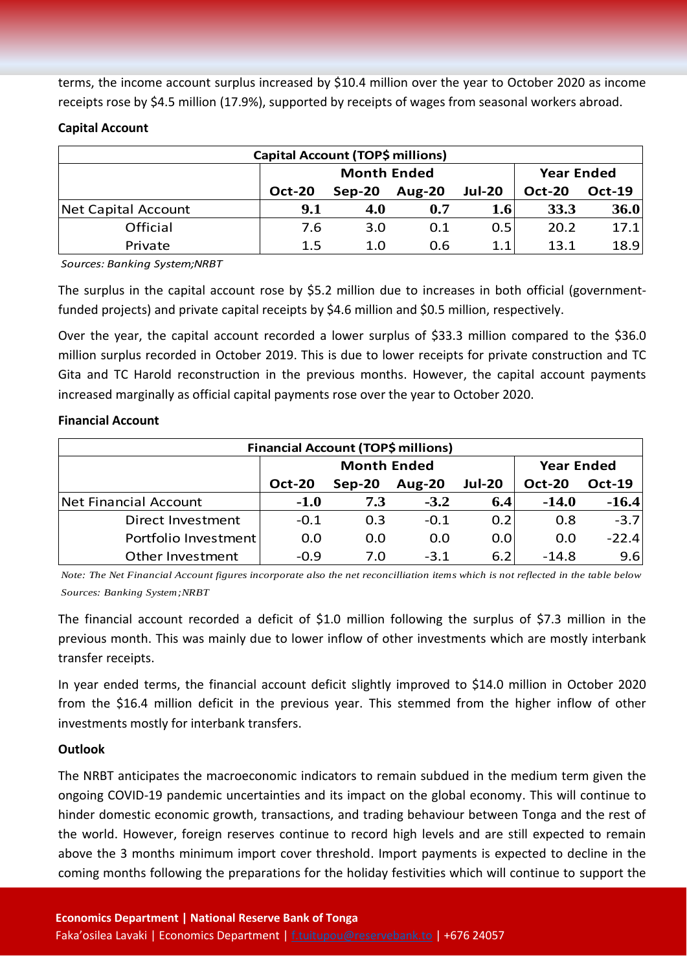terms, the income account surplus increased by \$10.4 million over the year to October 2020 as income receipts rose by \$4.5 million (17.9%), supported by receipts of wages from seasonal workers abroad.

# **Capital Account**

| Capital Account (TOP\$ millions) |               |                    |                   |               |               |               |  |  |
|----------------------------------|---------------|--------------------|-------------------|---------------|---------------|---------------|--|--|
|                                  |               | <b>Month Ended</b> | <b>Year Ended</b> |               |               |               |  |  |
|                                  | <b>Oct-20</b> | $Sep-20$           | <b>Aug-20</b>     | <b>Jul-20</b> | <b>Oct-20</b> | <b>Oct-19</b> |  |  |
| Net Capital Account              | 9.1           | 4.0                | 0.7               | 1.6           | 33.3          | 36.0          |  |  |
| Official                         | 7.6           | 3.0                | 0.1               | 0.5           | 20.2          | 17.1          |  |  |
| Private                          | 1.5           | 1.0                | 0.6               | 1.1           | 13.1          | 18.9          |  |  |

*Sources: Banking System;NRBT*

The surplus in the capital account rose by \$5.2 million due to increases in both official (governmentfunded projects) and private capital receipts by \$4.6 million and \$0.5 million, respectively.

Over the year, the capital account recorded a lower surplus of \$33.3 million compared to the \$36.0 million surplus recorded in October 2019. This is due to lower receipts for private construction and TC Gita and TC Harold reconstruction in the previous months. However, the capital account payments increased marginally as official capital payments rose over the year to October 2020.

## **Financial Account**

| <b>Financial Account (TOP\$ millions)</b> |               |                    |                   |               |               |               |  |  |  |
|-------------------------------------------|---------------|--------------------|-------------------|---------------|---------------|---------------|--|--|--|
|                                           |               | <b>Month Ended</b> | <b>Year Ended</b> |               |               |               |  |  |  |
|                                           | <b>Oct-20</b> | $Sep-20$           | <b>Aug-20</b>     | <b>Jul-20</b> | <b>Oct-20</b> | <b>Oct-19</b> |  |  |  |
| Net Financial Account                     | $-1.0$        | 7.3                | $-3.2$            | 6.4           | $-14.0$       | $-16.4$       |  |  |  |
| Direct Investment                         | $-0.1$        | 0.3                | $-0.1$            | 0.2           | 0.8           | $-3.7$        |  |  |  |
| Portfolio Investment                      | 0.0           | 0.0                | 0.0               | 0.0           | 0.0           | $-22.4$       |  |  |  |
| Other Investment                          | $-0.9$        | 7.0                | $-3.1$            | 6.2           | $-14.8$       | 9.6           |  |  |  |

*Note: The Net Financial Account figures incorporate also the net reconcilliation items which is not reflected in the table below Sources: Banking System;NRBT*

The financial account recorded a deficit of \$1.0 million following the surplus of \$7.3 million in the previous month. This was mainly due to lower inflow of other investments which are mostly interbank transfer receipts.

In year ended terms, the financial account deficit slightly improved to \$14.0 million in October 2020 from the \$16.4 million deficit in the previous year. This stemmed from the higher inflow of other investments mostly for interbank transfers.

## **Outlook**

The NRBT anticipates the macroeconomic indicators to remain subdued in the medium term given the ongoing COVID-19 pandemic uncertainties and its impact on the global economy. This will continue to hinder domestic economic growth, transactions, and trading behaviour between Tonga and the rest of the world. However, foreign reserves continue to record high levels and are still expected to remain above the 3 months minimum import cover threshold. Import payments is expected to decline in the coming months following the preparations for the holiday festivities which will continue to support the